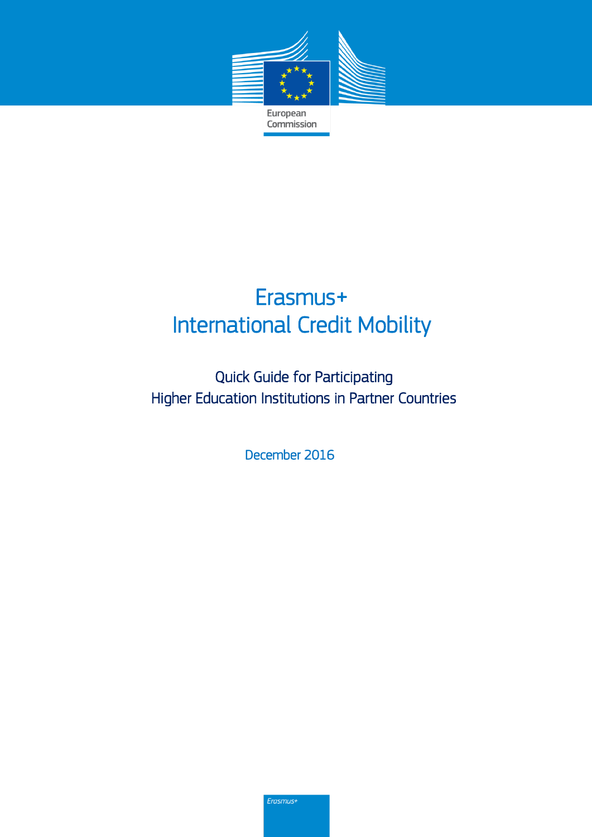

# Erasmus+ International Credit Mobility

Quick Guide for Participating Higher Education Institutions in Partner Countries

December 2016

Erasmus+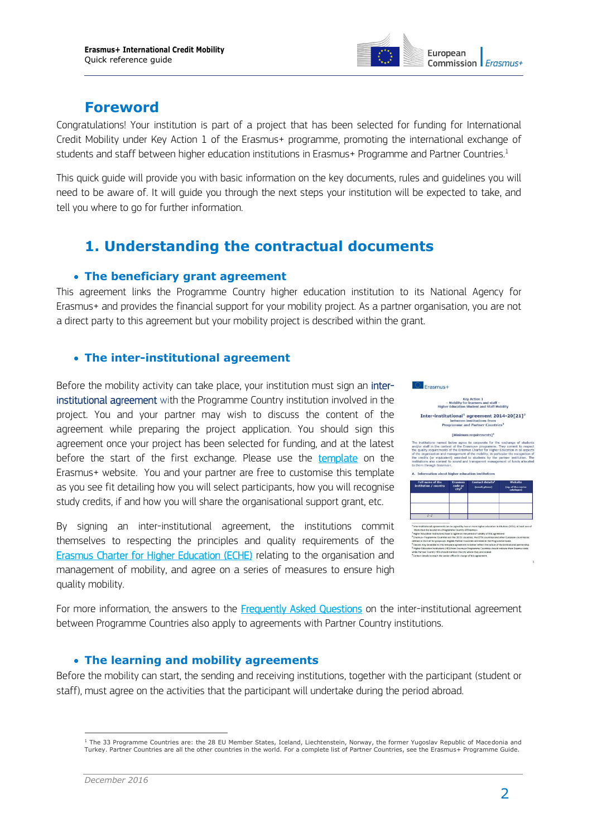

# **Foreword**

Congratulations! Your institution is part of a project that has been selected for funding for International Credit Mobility under Key Action 1 of the Erasmus+ programme, promoting the international exchange of students and staff between higher education institutions in Erasmus+ Programme and Partner Countries.<sup>1</sup>

This quick guide will provide you with basic information on the key documents, rules and guidelines you will need to be aware of. It will guide you through the next steps your institution will be expected to take, and tell you where to go for further information.

# **1. Understanding the contractual documents**

### **The beneficiary grant agreement**

This agreement links the Programme Country higher education institution to its National Agency for Erasmus+ and provides the financial support for your mobility project. As a partner organisation, you are not a direct party to this agreement but your mobility project is described within the grant.

# **The inter-institutional agreement**

Before the mobility activity can take place, your institution must sign an [inter](http://ec.europa.eu/education/opportunities/higher-education/doc/partner-programme-iia_en.pdf)[institutional agreement](http://ec.europa.eu/education/opportunities/higher-education/doc/partner-programme-iia_en.pdf) with the Programme Country institution involved in the project. You and your partner may wish to discuss the content of the agreement while preparing the project application. You should sign this agreement once your project has been selected for funding, and at the latest before the start of the first exchange. Please use the [template](http://ec.europa.eu/programmes/erasmus-plus/resources/documents-for-applicants/inter-institutional-agreement_en) on the Erasmus+ website. You and your partner are free to customise this template as you see fit detailing how you will select participants, how you will recognise study credits, if and how you will share the organisational support grant, etc.

By signing an inter-institutional agreement, the institutions commit themselves to respecting the principles and quality requirements of the [Erasmus Charter for Higher Education \(ECHE\)](http://ec.europa.eu/education/opportunities/higher-education/doc/he-charter_en.pdf) relating to the organisation and management of mobility, and agree on a series of measures to ensure high quality mobility.





For more information, the answers to the **Frequently Asked Questions** on the inter-institutional agreement between Programme Countries also apply to agreements with Partner Country institutions.

## **The learning and mobility agreements**

Before the mobility can start, the sending and receiving institutions, together with the participant (student or staff), must agree on the activities that the participant will undertake during the period abroad.

 $\overline{a}$ <sup>1</sup> The 33 Programme Countries are: the 28 EU Member States, Iceland, Liechtenstein, Norway, the former Yugoslav Republic of Macedonia and Turkey. Partner Countries are all the other countries in the world. For a complete list of Partner Countries, see the Erasmus+ Programme Guide.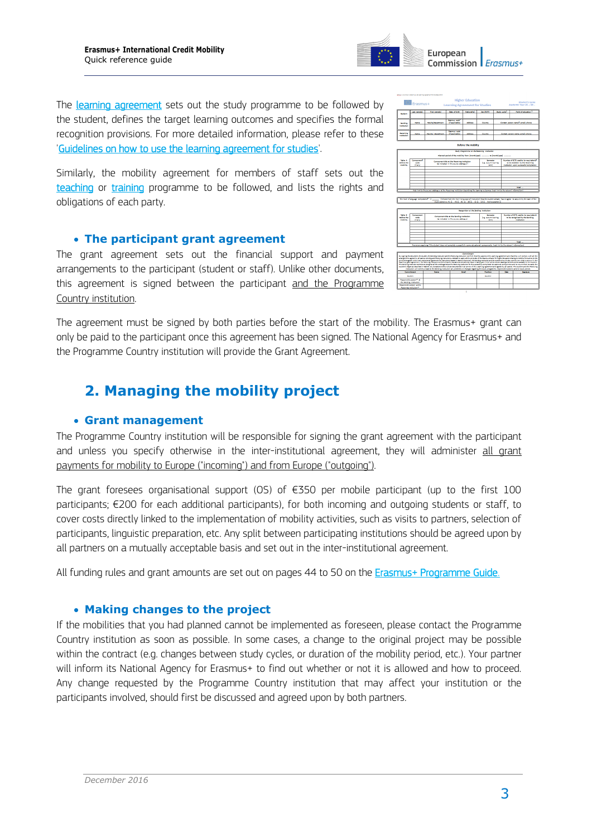All funding rules and grant amounts are set out on pages 44 to 50 on the [Erasmus+ Programme Guide.](http://ec.europa.eu/programmes/erasmus-plus/resources_en)

#### **Making changes to the project**

If the mobilities that you had planned cannot be implemented as foreseen, please contact the Programme Country institution as soon as possible. In some cases, a change to the original project may be possible within the contract (e.g. changes between study cycles, or duration of the mobility period, etc.). Your partner will inform its National Agency for Erasmus+ to find out whether or not it is allowed and how to proceed. Any change requested by the Programme Country institution that may affect your institution or the participants involved, should first be discussed and agreed upon by both partners.

*December 2016*



Similarly, the mobility agreement for members of staff sets out the [teaching](https://ec.europa.eu/programmes/erasmus-plus/sites/erasmusplus/files/files/resources/mobility-agreement-teaching_en.pdf) or [training](https://ec.europa.eu/programmes/erasmus-plus/sites/erasmusplus/files/files/resources/mobility-agreement-training_en.pdf) programme to be followed, and lists the rights and obligations of each party.

#### **The participant grant agreement**

The grant agreement sets out the financial support and payment arrangements to the participant (student or staff). Unlike other documents, this agreement is signed between the participant and the Programme Country institution.

The agreement must be signed by both parties before the start of the mobility. The Erasmus+ grant can only be paid to the participant once this agreement has been signed. The National Agency for Erasmus+ and the Programme Country institution will provide the Grant Agreement.

# **2. Managing the mobility project**

#### **Grant management**

The Programme Country institution will be responsible for signing the grant agreement with the participant and unless you specify otherwise in the inter-institutional agreement, they will administer all grant payments for mobility to Europe ("incoming") and from Europe ("outgoing").

The grant foresees organisational support (OS) of  $E$ 350 per mobile participant (up to the first 100 participants; €200 for each additional participants), for both incoming and outgoing students or staff, to cover costs directly linked to the implementation of mobility activities, such as visits to partners, selection of participants, linguistic preparation, etc. Any split between participating institutions should be agreed upon by all partners on a mutually acceptable basis and set out in the inter-institutional agreement.

Company<br>Maria



 $\mathcal{L}^{\prime\prime}$  .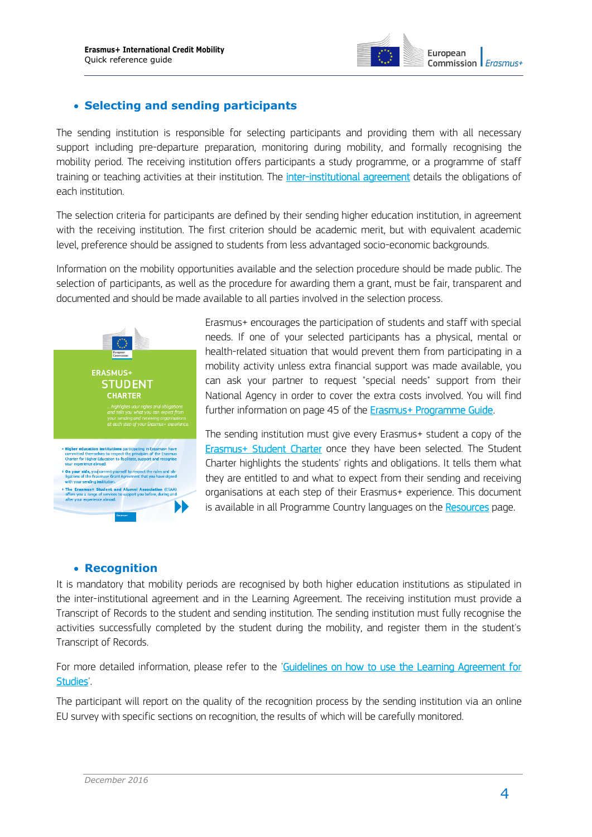

# **Selecting and sending participants**

The sending institution is responsible for selecting participants and providing them with all necessary support including pre-departure preparation, monitoring during mobility, and formally recognising the mobility period. The receiving institution offers participants a study programme, or a programme of staff training or teaching activities at their institution. The *inter-institutional agreement* details the obligations of each institution.

The selection criteria for participants are defined by their sending higher education institution, in agreement with the receiving institution. The first criterion should be academic merit, but with equivalent academic level, preference should be assigned to students from less advantaged socio-economic backgrounds.

Information on the mobility opportunities available and the selection procedure should be made public. The selection of participants, as well as the procedure for awarding them a grant, must be fair, transparent and documented and should be made available to all parties involved in the selection process.



Erasmus+ encourages the participation of students and staff with special needs. If one of your selected participants has a physical, mental or health-related situation that would prevent them from participating in a mobility activity unless extra financial support was made available, you can ask your partner to request "special needs" support from their National Agency in order to cover the extra costs involved. You will find further information on page 45 of the [Erasmus+ Programme Guide.](http://ec.europa.eu/programmes/erasmus-plus/discover/guide/index_en.htm)

The sending institution must give every Erasmus+ student a copy of the [Erasmus+ Student Charter](http://ec.europa.eu/programmes/erasmus-plus/content/erasmus-student-charter_en) once they have been selected. The Student Charter highlights the students' rights and obligations. It tells them what they are entitled to and what to expect from their sending and receiving organisations at each step of their Erasmus+ experience. This document is available in all Programme Country languages on the [Resources](http://ec.europa.eu/programmes/erasmus-plus/content/erasmus-student-charter_en) page.

#### **Recognition**

It is mandatory that mobility periods are recognised by both higher education institutions as stipulated in the inter-institutional agreement and in the Learning Agreement. The receiving institution must provide a Transcript of Records to the student and sending institution. The sending institution must fully recognise the activities successfully completed by the student during the mobility, and register them in the student's Transcript of Records.

For more detailed information, please refer to the 'Guidelines on how to use the Learning Agreement for [Studies'.](http://ec.europa.eu/education/opportunities/higher-education/doc/learning-studies-guidelines_en.pdf)

The participant will report on the quality of the recognition process by the sending institution via an online EU survey with specific sections on recognition, the results of which will be carefully monitored.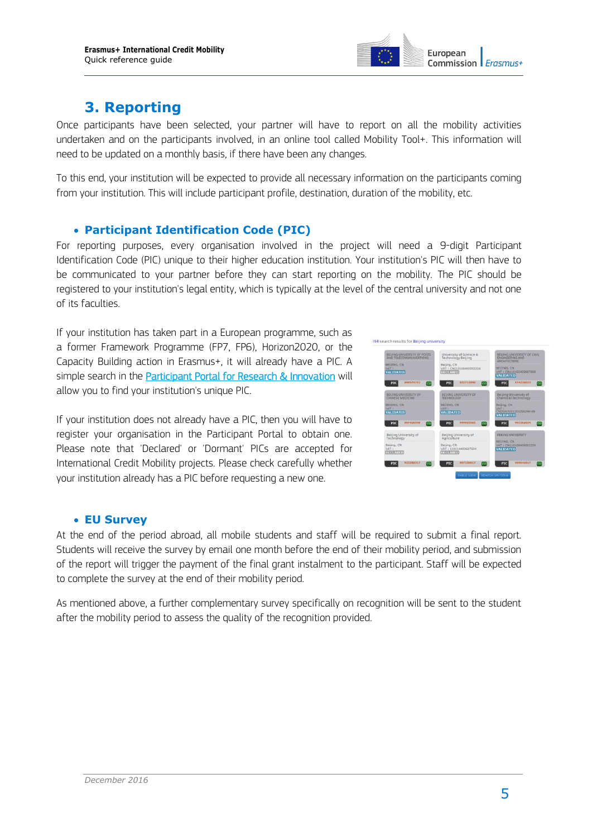

# **3. Reporting**

Once participants have been selected, your partner will have to report on all the mobility activities undertaken and on the participants involved, in an online tool called Mobility Tool+. This information will need to be updated on a monthly basis, if there have been any changes.

To this end, your institution will be expected to provide all necessary information on the participants coming from your institution. This will include participant profile, destination, duration of the mobility, etc.

# **Participant Identification Code (PIC)**

For reporting purposes, every organisation involved in the project will need a 9-digit Participant Identification Code (PIC) unique to their higher education institution. Your institution's PIC will then have to be communicated to your partner before they can start reporting on the mobility. The PIC should be registered to your institution's legal entity, which is typically at the level of the central university and not one of its faculties.

If your institution has taken part in a European programme, such as a former Framework Programme (FP7, FP6), Horizon2020, or the Capacity Building action in Erasmus+, it will already have a PIC. A simple search in the [Participant Portal for Research & Innovation](http://ec.europa.eu/research/participants/portal/desktop/en/organisations/register.html) will allow you to find your institution's unique PIC.

If your institution does not already have a PIC, then you will have to register your organisation in the Participant Portal to obtain one. Please note that 'Declared' or 'Dormant' PICs are accepted for International Credit Mobility projects. Please check carefully whether your institution already has a PIC before requesting a new one.



#### **EU Survey**

At the end of the period abroad, all mobile students and staff will be required to submit a final report. Students will receive the survey by email one month before the end of their mobility period, and submission of the report will trigger the payment of the final grant instalment to the participant. Staff will be expected to complete the survey at the end of their mobility period.

As mentioned above, a further complementary survey specifically on recognition will be sent to the student after the mobility period to assess the quality of the recognition provided.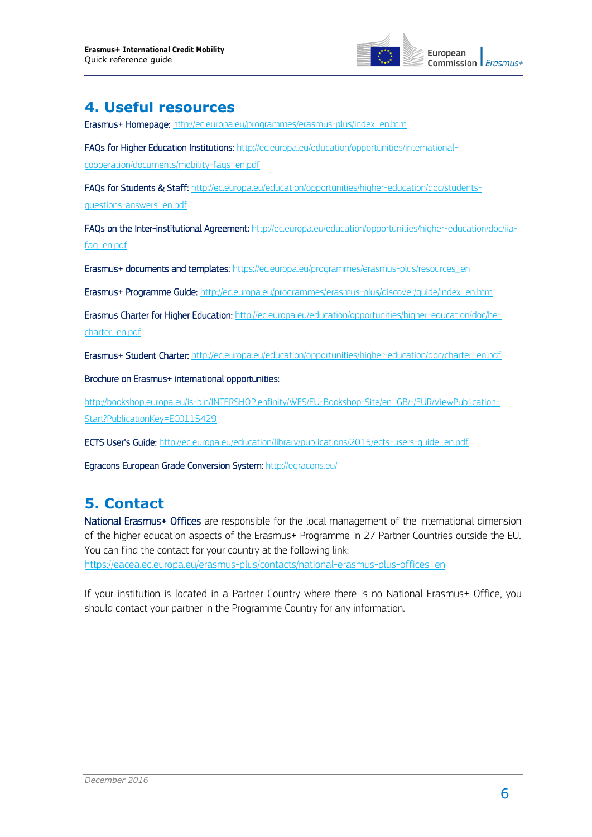

# **4. Useful resources**

[Erasmus+ Homepage: http://ec.europa.eu/programmes/erasmus-plus/index\\_en.htm](http://ec.europa.eu/programmes/erasmus-plus/index_en.htm) 

[FAQs for Higher Education Institutions:](http://ec.europa.eu/education/opportunities/international-cooperation/documents/mobility-faqs_en.pdf) http://ec.europa.eu/education/opportunities/international-

cooperation/documents/mobility-faqs\_en.pdf

[FAQs for Students & Staff:](http://ec.europa.eu/education/opportunities/higher-education/doc/students-questions-answers_en.pdf) http://ec.europa.eu/education/opportunities/higher-education/doc/studentsquestions-answers\_en.pdf

[FAQs on the Inter-institutional Agreement: http://ec.europa.eu/education/opportunities/higher-education/doc/iia](http://ec.europa.eu/education/opportunities/higher-education/doc/iia-faq_en.pdf)[faq\\_en.pdf](http://ec.europa.eu/education/opportunities/higher-education/doc/iia-faq_en.pdf) 

Erasmus+ documents and templates: [https://ec.europa.eu/programmes/erasmus-plus/resources\\_en](https://ec.europa.eu/programmes/erasmus-plus/resources_en)

Erasmus+ Programme Guide: http://ec.europa.eu/programmes/erasmus-plus/discover/guide/index\_en.htm

[Erasmus Charter for Higher Education: http://ec.europa.eu/education/opportunities/higher-education/doc/he](http://ec.europa.eu/education/opportunities/higher-education/doc/he-charter_en.pdf)[charter\\_en.pdf](http://ec.europa.eu/education/opportunities/higher-education/doc/he-charter_en.pdf) 

[Erasmus+ Student Charter:](http://ec.europa.eu/education/opportunities/higher-education/doc/charter_en.pdf) http://ec.europa.eu/education/opportunities/higher-education/doc/charter\_en.pdf

Brochure on Erasmus+ international opportunities:

http://bookshop.europa.eu/is-bin/INTERSHOP.enfinity/WFS/EU-Bookshop-Site/en\_GB/-/EUR/ViewPublication-Start?PublicationKey=EC0115429

ECTS User's Guide: http://ec.europa.eu/education/library/publications/2015/ects-users-quide\_en.pdf

Egracons European Grade Conversion System: <http://egracons.eu/>

# **5. Contact**

[National Erasmus+ Offices](https://eacea.ec.europa.eu/erasmus-plus/contacts/national-erasmus-plus-offices_en) are responsible for the local management of the international dimension of the higher education aspects of the Erasmus+ Programme in 27 Partner Countries outside the EU. You can find the contact for your country at the following link: [https://eacea.ec.europa.eu/erasmus-plus/contacts/national-erasmus-plus-offices\\_en](https://eacea.ec.europa.eu/erasmus-plus/contacts/national-erasmus-plus-offices_en)

If your institution is located in a Partner Country where there is no National Erasmus+ Office, you should contact your partner in the Programme Country for any information.